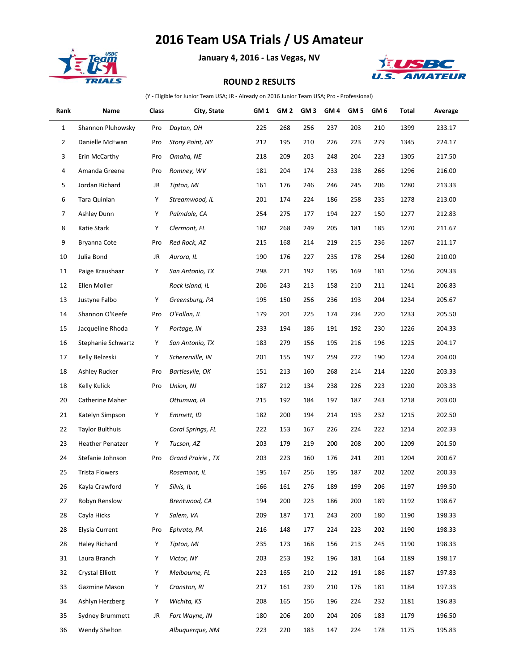## **2016 Team USA Trials / US Amateur**



à.

## **January 4, 2016 - Las Vegas, NV**



## **ROUND 2 RESULTS**

(Y - Eligible for Junior Team USA; JR - Already on 2016 Junior Team USA; Pro - Professional)

| Rank           | Name                    | Class | City, State       | GM 1 | GM 2 | GM <sub>3</sub> | GM <sub>4</sub> | GM <sub>5</sub> | GM 6 | Total | Average |
|----------------|-------------------------|-------|-------------------|------|------|-----------------|-----------------|-----------------|------|-------|---------|
| $\mathbf{1}$   | Shannon Pluhowsky       | Pro   | Dayton, OH        | 225  | 268  | 256             | 237             | 203             | 210  | 1399  | 233.17  |
| $\overline{2}$ | Danielle McEwan         | Pro   | Stony Point, NY   | 212  | 195  | 210             | 226             | 223             | 279  | 1345  | 224.17  |
| 3              | Erin McCarthy           | Pro   | Omaha, NE         | 218  | 209  | 203             | 248             | 204             | 223  | 1305  | 217.50  |
| 4              | Amanda Greene           | Pro   | Romney, WV        | 181  | 204  | 174             | 233             | 238             | 266  | 1296  | 216.00  |
| 5              | Jordan Richard          | JR    | Tipton, MI        | 161  | 176  | 246             | 246             | 245             | 206  | 1280  | 213.33  |
| 6              | Tara Quinlan            | Υ     | Streamwood, IL    | 201  | 174  | 224             | 186             | 258             | 235  | 1278  | 213.00  |
| $\overline{7}$ | Ashley Dunn             | Υ     | Palmdale, CA      | 254  | 275  | 177             | 194             | 227             | 150  | 1277  | 212.83  |
| 8              | Katie Stark             | Υ     | Clermont, FL      | 182  | 268  | 249             | 205             | 181             | 185  | 1270  | 211.67  |
| 9              | Bryanna Cote            | Pro   | Red Rock, AZ      | 215  | 168  | 214             | 219             | 215             | 236  | 1267  | 211.17  |
| 10             | Julia Bond              | JR    | Aurora, IL        | 190  | 176  | 227             | 235             | 178             | 254  | 1260  | 210.00  |
| 11             | Paige Kraushaar         | Υ     | San Antonio, TX   | 298  | 221  | 192             | 195             | 169             | 181  | 1256  | 209.33  |
| 12             | Ellen Moller            |       | Rock Island, IL   | 206  | 243  | 213             | 158             | 210             | 211  | 1241  | 206.83  |
| 13             | Justyne Falbo           | Υ     | Greensburg, PA    | 195  | 150  | 256             | 236             | 193             | 204  | 1234  | 205.67  |
| 14             | Shannon O'Keefe         | Pro   | O'Fallon, IL      | 179  | 201  | 225             | 174             | 234             | 220  | 1233  | 205.50  |
| 15             | Jacqueline Rhoda        | Υ     | Portage, IN       | 233  | 194  | 186             | 191             | 192             | 230  | 1226  | 204.33  |
| 16             | Stephanie Schwartz      | Υ     | San Antonio, TX   | 183  | 279  | 156             | 195             | 216             | 196  | 1225  | 204.17  |
| 17             | Kelly Belzeski          | Υ     | Schererville, IN  | 201  | 155  | 197             | 259             | 222             | 190  | 1224  | 204.00  |
| 18             | Ashley Rucker           | Pro   | Bartlesvile, OK   | 151  | 213  | 160             | 268             | 214             | 214  | 1220  | 203.33  |
| 18             | Kelly Kulick            | Pro   | Union, NJ         | 187  | 212  | 134             | 238             | 226             | 223  | 1220  | 203.33  |
| 20             | Catherine Maher         |       | Ottumwa, IA       | 215  | 192  | 184             | 197             | 187             | 243  | 1218  | 203.00  |
| 21             | Katelyn Simpson         | Υ     | Emmett, ID        | 182  | 200  | 194             | 214             | 193             | 232  | 1215  | 202.50  |
| 22             | <b>Taylor Bulthuis</b>  |       | Coral Springs, FL | 222  | 153  | 167             | 226             | 224             | 222  | 1214  | 202.33  |
| 23             | <b>Heather Penatzer</b> | Υ     | Tucson, AZ        | 203  | 179  | 219             | 200             | 208             | 200  | 1209  | 201.50  |
| 24             | Stefanie Johnson        | Pro   | Grand Prairie, TX | 203  | 223  | 160             | 176             | 241             | 201  | 1204  | 200.67  |
| 25             | <b>Trista Flowers</b>   |       | Rosemont, IL      | 195  | 167  | 256             | 195             | 187             | 202  | 1202  | 200.33  |
| 26             | Kayla Crawford          | Υ     | Silvis, IL        | 166  | 161  | 276             | 189             | 199             | 206  | 1197  | 199.50  |
| 27             | Robyn Renslow           |       | Brentwood, CA     | 194  | 200  | 223             | 186             | 200             | 189  | 1192  | 198.67  |
| 28             | Cayla Hicks             | Υ     | Salem, VA         | 209  | 187  | 171             | 243             | 200             | 180  | 1190  | 198.33  |
| 28             | Elysia Current          | Pro   | Ephrata, PA       | 216  | 148  | 177             | 224             | 223             | 202  | 1190  | 198.33  |
| 28             | <b>Haley Richard</b>    | Υ     | Tipton, MI        | 235  | 173  | 168             | 156             | 213             | 245  | 1190  | 198.33  |
| 31             | Laura Branch            | Υ     | Victor, NY        | 203  | 253  | 192             | 196             | 181             | 164  | 1189  | 198.17  |
| 32             | <b>Crystal Elliott</b>  | Υ     | Melbourne, FL     | 223  | 165  | 210             | 212             | 191             | 186  | 1187  | 197.83  |
| 33             | Gazmine Mason           | Υ     | Cranston, RI      | 217  | 161  | 239             | 210             | 176             | 181  | 1184  | 197.33  |
| 34             | Ashlyn Herzberg         | Υ     | Wichita, KS       | 208  | 165  | 156             | 196             | 224             | 232  | 1181  | 196.83  |
| 35             | Sydney Brummett         | JR    | Fort Wayne, IN    | 180  | 206  | 200             | 204             | 206             | 183  | 1179  | 196.50  |
| 36             | <b>Wendy Shelton</b>    |       | Albuquerque, NM   | 223  | 220  | 183             | 147             | 224             | 178  | 1175  | 195.83  |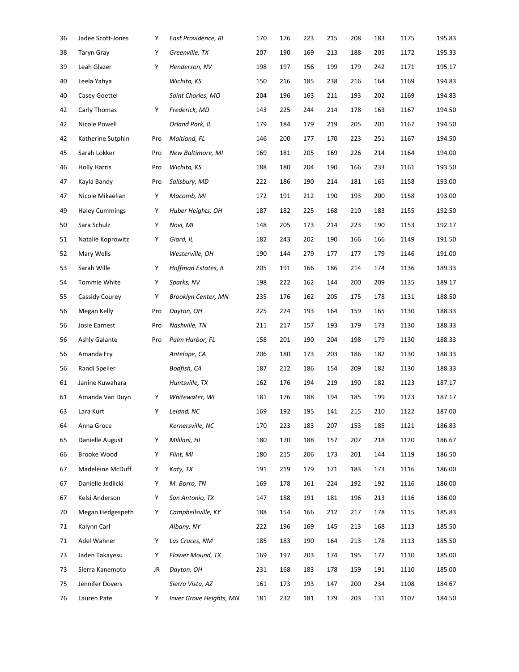| 36 | Jadee Scott-Jones     | Υ   | East Providence, RI     | 170 | 176 | 223 | 215 | 208 | 183 | 1175 | 195.83 |
|----|-----------------------|-----|-------------------------|-----|-----|-----|-----|-----|-----|------|--------|
| 38 | <b>Taryn Gray</b>     | Υ   | Greenville, TX          | 207 | 190 | 169 | 213 | 188 | 205 | 1172 | 195.33 |
| 39 | Leah Glazer           | Υ   | Henderson, NV           | 198 | 197 | 156 | 199 | 179 | 242 | 1171 | 195.17 |
| 40 | Leela Yahya           |     | Wichita, KS             | 150 | 216 | 185 | 238 | 216 | 164 | 1169 | 194.83 |
| 40 | Casey Goettel         |     | Saint Charles, MO       | 204 | 196 | 163 | 211 | 193 | 202 | 1169 | 194.83 |
| 42 | Carly Thomas          | Υ   | Frederick, MD           | 143 | 225 | 244 | 214 | 178 | 163 | 1167 | 194.50 |
| 42 | Nicole Powell         |     | Orland Park, IL         | 179 | 184 | 179 | 219 | 205 | 201 | 1167 | 194.50 |
| 42 | Katherine Sutphin     | Pro | Maitland, FL            | 146 | 200 | 177 | 170 | 223 | 251 | 1167 | 194.50 |
| 45 | Sarah Lokker          | Pro | New Baltimore, MI       | 169 | 181 | 205 | 169 | 226 | 214 | 1164 | 194.00 |
| 46 | <b>Holly Harris</b>   | Pro | Wichita, KS             | 188 | 180 | 204 | 190 | 166 | 233 | 1161 | 193.50 |
| 47 | Kayla Bandy           | Pro | Salisbury, MD           | 222 | 186 | 190 | 214 | 181 | 165 | 1158 | 193.00 |
| 47 | Nicole Mikaelian      | Υ   | Macomb, MI              | 172 | 191 | 212 | 190 | 193 | 200 | 1158 | 193.00 |
| 49 | <b>Haley Cummings</b> | Υ   | Huber Heights, OH       | 187 | 182 | 225 | 168 | 210 | 183 | 1155 | 192.50 |
| 50 | Sara Schulz           | Υ   | Novi, MI                | 148 | 205 | 173 | 214 | 223 | 190 | 1153 | 192.17 |
| 51 | Natalie Koprowitz     | Υ   | Giard, IL               | 182 | 243 | 202 | 190 | 166 | 166 | 1149 | 191.50 |
| 52 | Mary Wells            |     | Westerville, OH         | 190 | 144 | 279 | 177 | 177 | 179 | 1146 | 191.00 |
| 53 | Sarah Wille           | Υ   | Hoffman Estates, IL     | 205 | 191 | 166 | 186 | 214 | 174 | 1136 | 189.33 |
| 54 | Tommie White          | Υ   | Sparks, NV              | 198 | 222 | 162 | 144 | 200 | 209 | 1135 | 189.17 |
| 55 | Cassidy Courey        | Υ   | Brooklyn Center, MN     | 235 | 176 | 162 | 205 | 175 | 178 | 1131 | 188.50 |
| 56 | Megan Kelly           | Pro | Dayton, OH              | 225 | 224 | 193 | 164 | 159 | 165 | 1130 | 188.33 |
| 56 | Josie Earnest         | Pro | Nashville, TN           | 211 | 217 | 157 | 193 | 179 | 173 | 1130 | 188.33 |
| 56 | Ashly Galante         | Pro | Palm Harbor, FL         | 158 | 201 | 190 | 204 | 198 | 179 | 1130 | 188.33 |
| 56 | Amanda Fry            |     | Antelope, CA            | 206 | 180 | 173 | 203 | 186 | 182 | 1130 | 188.33 |
| 56 | Randi Speiler         |     | Bodfish, CA             | 187 | 212 | 186 | 154 | 209 | 182 | 1130 | 188.33 |
| 61 | Janine Kuwahara       |     | Huntsville, TX          | 162 | 176 | 194 | 219 | 190 | 182 | 1123 | 187.17 |
| 61 | Amanda Van Duyn       | Υ   | Whitewater, WI          | 181 | 176 | 188 | 194 | 185 | 199 | 1123 | 187.17 |
| 63 | Lara Kurt             | Υ   | Leland, NC              | 169 | 192 | 195 | 141 | 215 | 210 | 1122 | 187.00 |
| 64 | Anna Groce            |     | Kernersville, NC        | 170 | 223 | 183 | 207 | 153 | 185 | 1121 | 186.83 |
| 65 | Danielle August       | Υ   | Mililani, HI            | 180 | 170 | 188 | 157 | 207 | 218 | 1120 | 186.67 |
| 66 | Brooke Wood           | Υ   | Flint, MI               | 180 | 215 | 206 | 173 | 201 | 144 | 1119 | 186.50 |
| 67 | Madeleine McDuff      | Υ   | Katy, TX                | 191 | 219 | 179 | 171 | 183 | 173 | 1116 | 186.00 |
| 67 | Danielle Jedlicki     | Υ   | M. Borro, TN            | 169 | 178 | 161 | 224 | 192 | 192 | 1116 | 186.00 |
| 67 | Kelsi Anderson        | Υ   | San Antonio, TX         | 147 | 188 | 191 | 181 | 196 | 213 | 1116 | 186.00 |
| 70 | Megan Hedgespeth      | Υ   | Campbellsville, KY      | 188 | 154 | 166 | 212 | 217 | 178 | 1115 | 185.83 |
| 71 | Kalynn Carl           |     | Albany, NY              | 222 | 196 | 169 | 145 | 213 | 168 | 1113 | 185.50 |
| 71 | Adel Wahner           | Υ   | Las Cruces, NM          | 185 | 183 | 190 | 164 | 213 | 178 | 1113 | 185.50 |
| 73 | Jaden Takayesu        | Υ   | Flower Mound, TX        | 169 | 197 | 203 | 174 | 195 | 172 | 1110 | 185.00 |
| 73 | Sierra Kanemoto       | JR  | Dayton, OH              | 231 | 168 | 183 | 178 | 159 | 191 | 1110 | 185.00 |
| 75 | Jennifer Dovers       |     | Sierra Vista, AZ        | 161 | 173 | 193 | 147 | 200 | 234 | 1108 | 184.67 |
| 76 | Lauren Pate           | Υ   | Inver Grove Heights, MN | 181 | 232 | 181 | 179 | 203 | 131 | 1107 | 184.50 |